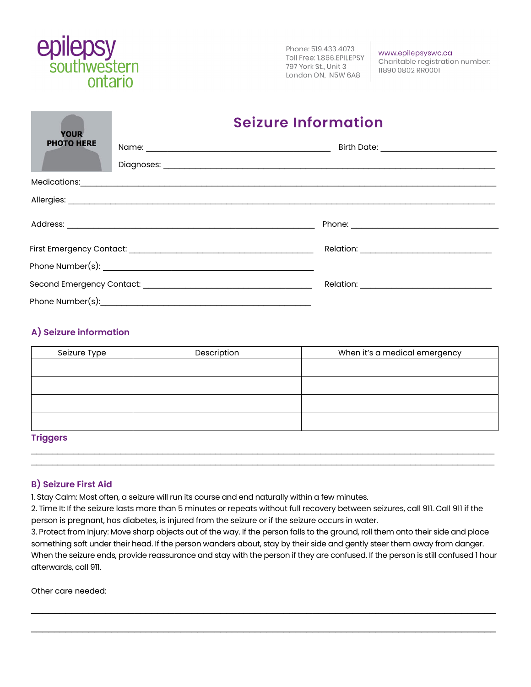

Phone: 519.433.4073 Toll Free: 1.866.EPILEPSY 797 York St., Unit 3 London ON, N5W 6A8

www.epilepsyswo.ca Charitable registration number: 11890 0802 RR0001

## **Seizure Information**

| TUUR<br><b>PHOTO HERE</b> |  |  |
|---------------------------|--|--|
|                           |  |  |
|                           |  |  |
|                           |  |  |
|                           |  |  |
|                           |  |  |
|                           |  |  |
|                           |  |  |

### **A) Seizure information**

| Seizure Type    | Description | When it's a medical emergency |
|-----------------|-------------|-------------------------------|
|                 |             |                               |
|                 |             |                               |
|                 |             |                               |
|                 |             |                               |
| <b>Trinnare</b> |             |                               |

 $\_$  , and the set of the set of the set of the set of the set of the set of the set of the set of the set of the set of the set of the set of the set of the set of the set of the set of the set of the set of the set of th

#### **Triggers**  $\_$  , and the set of the set of the set of the set of the set of the set of the set of the set of the set of the set of the set of the set of the set of the set of the set of the set of the set of the set of the set of th

#### **B) Seizure First Aid**

1. Stay Calm: Most often, a seizure will run its course and end naturally within a few minutes.

2. Time It: If the seizure lasts more than 5 minutes or repeats without full recovery between seizures, call 911. Call 911 if the person is pregnant, has diabetes, is injured from the seizure or if the seizure occurs in water.

3. Protect from Injury: Move sharp objects out of the way. If the person falls to the ground, roll them onto their side and place something soft under their head. If the person wanders about, stay by their side and gently steer them away from danger. When the seizure ends, provide reassurance and stay with the person if they are confused. If the person is still confused 1 hour afterwards, call 911.

\_\_\_\_\_\_\_\_\_\_\_\_\_\_\_\_\_\_\_\_\_\_\_\_\_\_\_\_\_\_\_\_\_\_\_\_\_\_\_\_\_\_\_\_\_\_\_\_\_\_\_\_\_\_\_\_\_\_\_\_\_\_\_\_\_\_\_\_\_\_\_\_\_\_\_\_\_\_\_\_\_

\_\_\_\_\_\_\_\_\_\_\_\_\_\_\_\_\_\_\_\_\_\_\_\_\_\_\_\_\_\_\_\_\_\_\_\_\_\_\_\_\_\_\_\_\_\_\_\_\_\_\_\_\_\_\_\_\_\_\_\_\_\_\_\_\_\_\_\_\_\_\_\_\_\_\_\_\_\_\_\_\_

Other care needed: